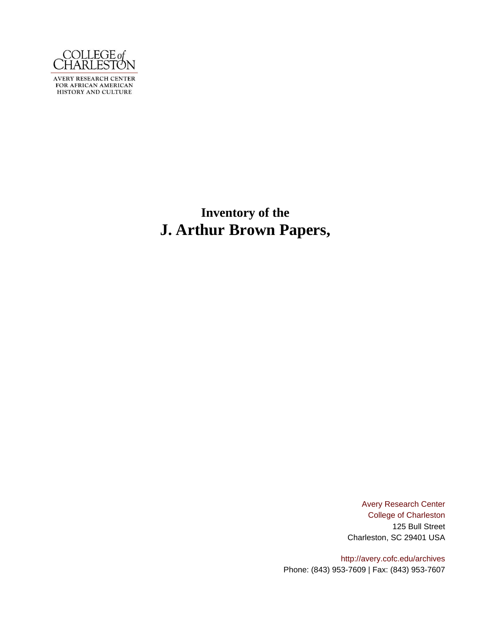

AVERY RESEARCH CENTER<br>FOR AFRICAN AMERICAN<br>HISTORY AND CULTURE

**Inventory of the J. Arthur Brown Papers,**

> [Avery Research Center](http://avery.cofc.edu) [College of Charleston](http://www.cofc.edu) 125 Bull Street Charleston, SC 29401 USA

<http://avery.cofc.edu/archives> Phone: (843) 953-7609 | Fax: (843) 953-7607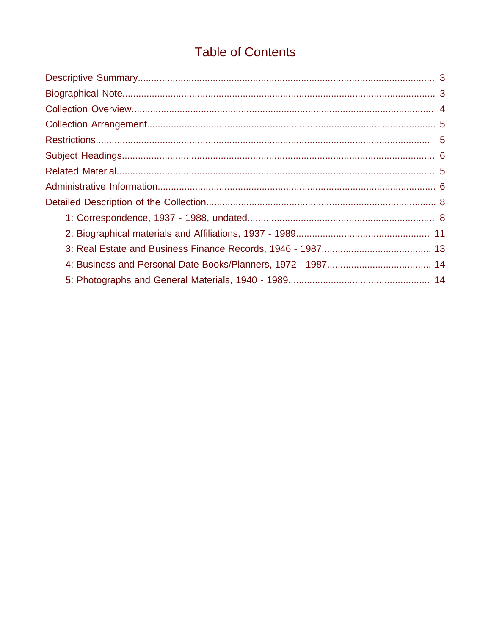# **Table of Contents**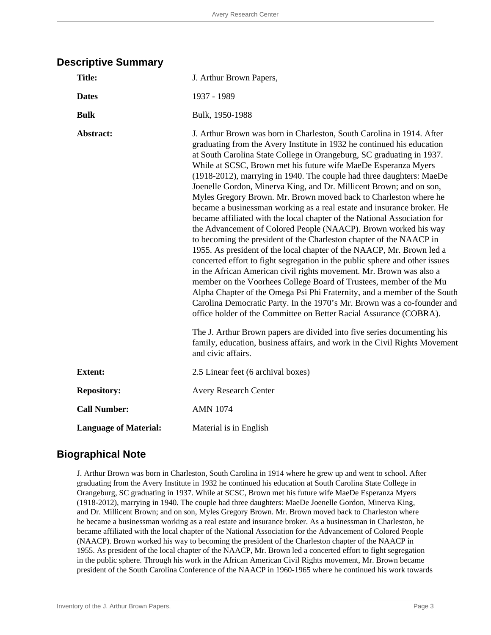### **Descriptive Summary**

| <b>Title:</b>                | J. Arthur Brown Papers,                                                                                                                                                                                                                                                                                                                                                                                                                                                                                                                                                                                                                                                                                                                                                                                                                                                                                                                                                                                                                                                                                                                                                                                                                                                                                                                                                                                                                                                                                                        |
|------------------------------|--------------------------------------------------------------------------------------------------------------------------------------------------------------------------------------------------------------------------------------------------------------------------------------------------------------------------------------------------------------------------------------------------------------------------------------------------------------------------------------------------------------------------------------------------------------------------------------------------------------------------------------------------------------------------------------------------------------------------------------------------------------------------------------------------------------------------------------------------------------------------------------------------------------------------------------------------------------------------------------------------------------------------------------------------------------------------------------------------------------------------------------------------------------------------------------------------------------------------------------------------------------------------------------------------------------------------------------------------------------------------------------------------------------------------------------------------------------------------------------------------------------------------------|
| <b>Dates</b>                 | 1937 - 1989                                                                                                                                                                                                                                                                                                                                                                                                                                                                                                                                                                                                                                                                                                                                                                                                                                                                                                                                                                                                                                                                                                                                                                                                                                                                                                                                                                                                                                                                                                                    |
| <b>Bulk</b>                  | Bulk, 1950-1988                                                                                                                                                                                                                                                                                                                                                                                                                                                                                                                                                                                                                                                                                                                                                                                                                                                                                                                                                                                                                                                                                                                                                                                                                                                                                                                                                                                                                                                                                                                |
| Abstract:                    | J. Arthur Brown was born in Charleston, South Carolina in 1914. After<br>graduating from the Avery Institute in 1932 he continued his education<br>at South Carolina State College in Orangeburg, SC graduating in 1937.<br>While at SCSC, Brown met his future wife MaeDe Esperanza Myers<br>(1918-2012), marrying in 1940. The couple had three daughters: MaeDe<br>Joenelle Gordon, Minerva King, and Dr. Millicent Brown; and on son,<br>Myles Gregory Brown. Mr. Brown moved back to Charleston where he<br>became a businessman working as a real estate and insurance broker. He<br>became affiliated with the local chapter of the National Association for<br>the Advancement of Colored People (NAACP). Brown worked his way<br>to becoming the president of the Charleston chapter of the NAACP in<br>1955. As president of the local chapter of the NAACP, Mr. Brown led a<br>concerted effort to fight segregation in the public sphere and other issues<br>in the African American civil rights movement. Mr. Brown was also a<br>member on the Voorhees College Board of Trustees, member of the Mu<br>Alpha Chapter of the Omega Psi Phi Fraternity, and a member of the South<br>Carolina Democratic Party. In the 1970's Mr. Brown was a co-founder and<br>office holder of the Committee on Better Racial Assurance (COBRA).<br>The J. Arthur Brown papers are divided into five series documenting his<br>family, education, business affairs, and work in the Civil Rights Movement<br>and civic affairs. |
| <b>Extent:</b>               | 2.5 Linear feet (6 archival boxes)                                                                                                                                                                                                                                                                                                                                                                                                                                                                                                                                                                                                                                                                                                                                                                                                                                                                                                                                                                                                                                                                                                                                                                                                                                                                                                                                                                                                                                                                                             |
| <b>Repository:</b>           | <b>Avery Research Center</b>                                                                                                                                                                                                                                                                                                                                                                                                                                                                                                                                                                                                                                                                                                                                                                                                                                                                                                                                                                                                                                                                                                                                                                                                                                                                                                                                                                                                                                                                                                   |
| <b>Call Number:</b>          | <b>AMN 1074</b>                                                                                                                                                                                                                                                                                                                                                                                                                                                                                                                                                                                                                                                                                                                                                                                                                                                                                                                                                                                                                                                                                                                                                                                                                                                                                                                                                                                                                                                                                                                |
| <b>Language of Material:</b> | Material is in English                                                                                                                                                                                                                                                                                                                                                                                                                                                                                                                                                                                                                                                                                                                                                                                                                                                                                                                                                                                                                                                                                                                                                                                                                                                                                                                                                                                                                                                                                                         |

### **Biographical Note**

J. Arthur Brown was born in Charleston, South Carolina in 1914 where he grew up and went to school. After graduating from the Avery Institute in 1932 he continued his education at South Carolina State College in Orangeburg, SC graduating in 1937. While at SCSC, Brown met his future wife MaeDe Esperanza Myers (1918-2012), marrying in 1940. The couple had three daughters: MaeDe Joenelle Gordon, Minerva King, and Dr. Millicent Brown; and on son, Myles Gregory Brown. Mr. Brown moved back to Charleston where he became a businessman working as a real estate and insurance broker. As a businessman in Charleston, he became affiliated with the local chapter of the National Association for the Advancement of Colored People (NAACP). Brown worked his way to becoming the president of the Charleston chapter of the NAACP in 1955. As president of the local chapter of the NAACP, Mr. Brown led a concerted effort to fight segregation in the public sphere. Through his work in the African American Civil Rights movement, Mr. Brown became president of the South Carolina Conference of the NAACP in 1960-1965 where he continued his work towards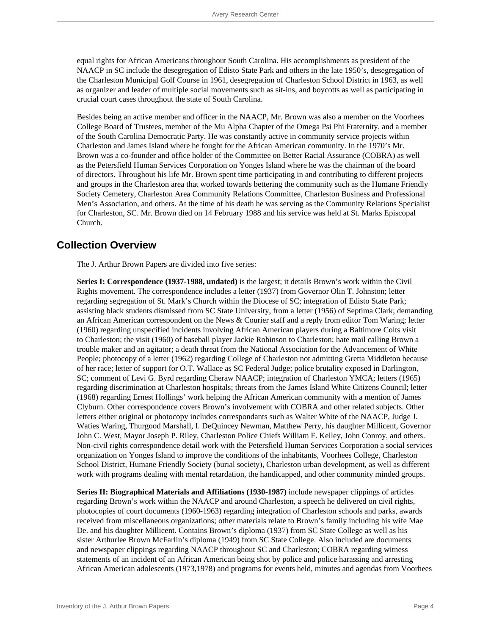equal rights for African Americans throughout South Carolina. His accomplishments as president of the NAACP in SC include the desegregation of Edisto State Park and others in the late 1950's, desegregation of the Charleston Municipal Golf Course in 1961, desegregation of Charleston School District in 1963, as well as organizer and leader of multiple social movements such as sit-ins, and boycotts as well as participating in crucial court cases throughout the state of South Carolina.

Besides being an active member and officer in the NAACP, Mr. Brown was also a member on the Voorhees College Board of Trustees, member of the Mu Alpha Chapter of the Omega Psi Phi Fraternity, and a member of the South Carolina Democratic Party. He was constantly active in community service projects within Charleston and James Island where he fought for the African American community. In the 1970's Mr. Brown was a co-founder and office holder of the Committee on Better Racial Assurance (COBRA) as well as the Petersfield Human Services Corporation on Yonges Island where he was the chairman of the board of directors. Throughout his life Mr. Brown spent time participating in and contributing to different projects and groups in the Charleston area that worked towards bettering the community such as the Humane Friendly Society Cemetery, Charleston Area Community Relations Committee, Charleston Business and Professional Men's Association, and others. At the time of his death he was serving as the Community Relations Specialist for Charleston, SC. Mr. Brown died on 14 February 1988 and his service was held at St. Marks Episcopal Church.

### **Collection Overview**

The J. Arthur Brown Papers are divided into five series:

**Series I: Correspondence (1937-1988, undated)** is the largest; it details Brown's work within the Civil Rights movement. The correspondence includes a letter (1937) from Governor Olin T. Johnston; letter regarding segregation of St. Mark's Church within the Diocese of SC; integration of Edisto State Park; assisting black students dismissed from SC State University, from a letter (1956) of Septima Clark; demanding an African American correspondent on the News & Courier staff and a reply from editor Tom Waring; letter (1960) regarding unspecified incidents involving African American players during a Baltimore Colts visit to Charleston; the visit (1960) of baseball player Jackie Robinson to Charleston; hate mail calling Brown a trouble maker and an agitator; a death threat from the National Association for the Advancement of White People; photocopy of a letter (1962) regarding College of Charleston not admitting Gretta Middleton because of her race; letter of support for O.T. Wallace as SC Federal Judge; police brutality exposed in Darlington, SC; comment of Levi G. Byrd regarding Cheraw NAACP; integration of Charleston YMCA; letters (1965) regarding discrimination at Charleston hospitals; threats from the James Island White Citizens Council; letter (1968) regarding Ernest Hollings' work helping the African American community with a mention of James Clyburn. Other correspondence covers Brown's involvement with COBRA and other related subjects. Other letters either original or photocopy includes correspondants such as Walter White of the NAACP, Judge J. Waties Waring, Thurgood Marshall, I. DeQuincey Newman, Matthew Perry, his daughter Millicent, Governor John C. West, Mayor Joseph P. Riley, Charleston Police Chiefs William F. Kelley, John Conroy, and others. Non-civil rights correspondence detail work with the Petersfield Human Services Corporation a social services organization on Yonges Island to improve the conditions of the inhabitants, Voorhees College, Charleston School District, Humane Friendly Society (burial society), Charleston urban development, as well as different work with programs dealing with mental retardation, the handicapped, and other community minded groups.

**Series II: Biographical Materials and Affiliations (1930-1987)** include newspaper clippings of articles regarding Brown's work within the NAACP and around Charleston, a speech he delivered on civil rights, photocopies of court documents (1960-1963) regarding integration of Charleston schools and parks, awards received from miscellaneous organizations; other materials relate to Brown's family including his wife Mae De. and his daughter Millicent. Contains Brown's diploma (1937) from SC State College as well as his sister Arthurlee Brown McFarlin's diploma (1949) from SC State College. Also included are documents and newspaper clippings regarding NAACP throughout SC and Charleston; COBRA regarding witness statements of an incident of an African American being shot by police and police harassing and arresting African American adolescents (1973,1978) and programs for events held, minutes and agendas from Voorhees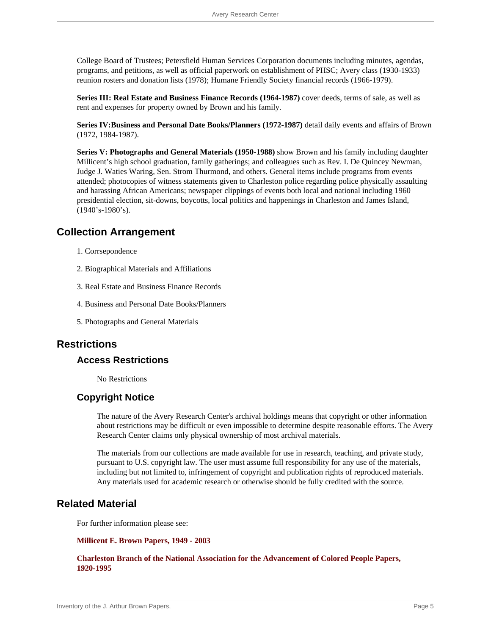College Board of Trustees; Petersfield Human Services Corporation documents including minutes, agendas, programs, and petitions, as well as official paperwork on establishment of PHSC; Avery class (1930-1933) reunion rosters and donation lists (1978); Humane Friendly Society financial records (1966-1979).

**Series III: Real Estate and Business Finance Records (1964-1987)** cover deeds, terms of sale, as well as rent and expenses for property owned by Brown and his family.

**Series IV:Business and Personal Date Books/Planners (1972-1987)** detail daily events and affairs of Brown (1972, 1984-1987).

**Series V: Photographs and General Materials (1950-1988)** show Brown and his family including daughter Millicent's high school graduation, family gatherings; and colleagues such as Rev. I. De Quincey Newman, Judge J. Waties Waring, Sen. Strom Thurmond, and others. General items include programs from events attended; photocopies of witness statements given to Charleston police regarding police physically assaulting and harassing African Americans; newspaper clippings of events both local and national including 1960 presidential election, sit-downs, boycotts, local politics and happenings in Charleston and James Island, (1940's-1980's).

### **Collection Arrangement**

- 1. Corrsepondence
- 2. Biographical Materials and Affiliations
- 3. Real Estate and Business Finance Records
- 4. Business and Personal Date Books/Planners
- 5. Photographs and General Materials

### **Restrictions**

#### **Access Restrictions**

No Restrictions

### **Copyright Notice**

The nature of the Avery Research Center's archival holdings means that copyright or other information about restrictions may be difficult or even impossible to determine despite reasonable efforts. The Avery Research Center claims only physical ownership of most archival materials.

The materials from our collections are made available for use in research, teaching, and private study, pursuant to U.S. copyright law. The user must assume full responsibility for any use of the materials, including but not limited to, infringement of copyright and publication rights of reproduced materials. Any materials used for academic research or otherwise should be fully credited with the source.

### **Related Material**

For further information please see:

#### **[Millicent E. Brown Papers, 1949 - 2003](http://avery.cofc.edu/archives/Brown_Millicent_E.html)**

**[Charleston Branch of the National Association for the Advancement of Colored People Papers,](http://avery.cofc.edu/archives/CHS_NAACP.html) [1920-1995](http://avery.cofc.edu/archives/CHS_NAACP.html)**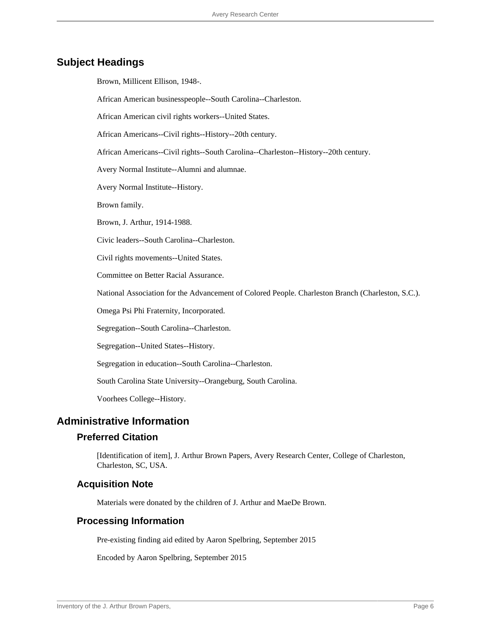### **Subject Headings**

Brown, Millicent Ellison, 1948-.

African American businesspeople--South Carolina--Charleston.

African American civil rights workers--United States.

African Americans--Civil rights--History--20th century.

African Americans--Civil rights--South Carolina--Charleston--History--20th century.

Avery Normal Institute--Alumni and alumnae.

Avery Normal Institute--History.

Brown family.

Brown, J. Arthur, 1914-1988.

Civic leaders--South Carolina--Charleston.

Civil rights movements--United States.

Committee on Better Racial Assurance.

National Association for the Advancement of Colored People. Charleston Branch (Charleston, S.C.).

Omega Psi Phi Fraternity, Incorporated.

Segregation--South Carolina--Charleston.

Segregation--United States--History.

Segregation in education--South Carolina--Charleston.

South Carolina State University--Orangeburg, South Carolina.

Voorhees College--History.

#### **Administrative Information**

#### **Preferred Citation**

[Identification of item], J. Arthur Brown Papers, Avery Research Center, College of Charleston, Charleston, SC, USA.

#### **Acquisition Note**

Materials were donated by the children of J. Arthur and MaeDe Brown.

#### **Processing Information**

Pre-existing finding aid edited by Aaron Spelbring, September 2015

Encoded by Aaron Spelbring, September 2015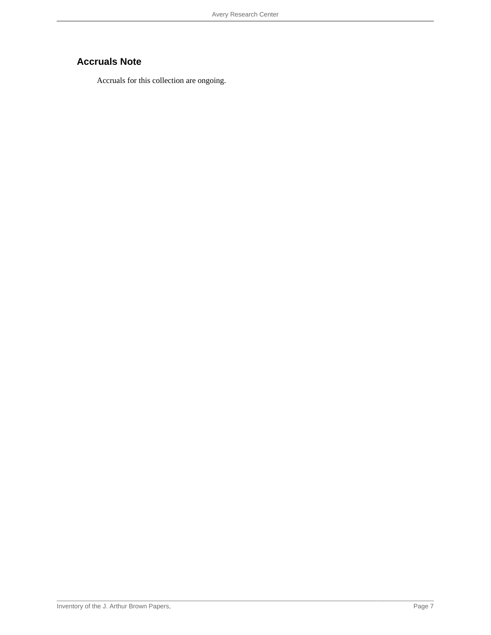## **Accruals Note**

Accruals for this collection are ongoing.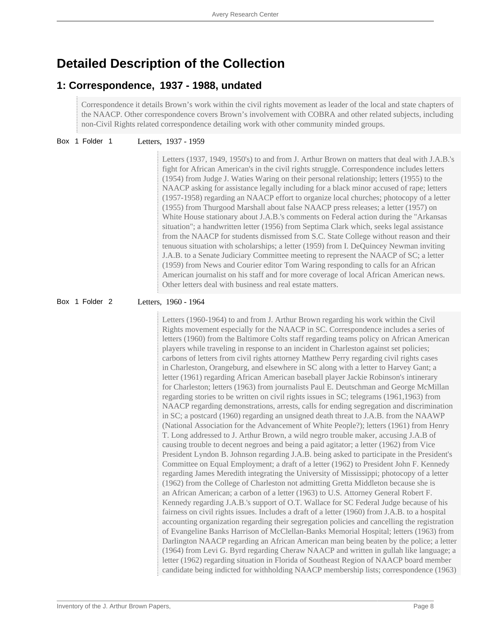# **Detailed Description of the Collection**

### **1: Correspondence, 1937 - 1988, undated**

Correspondence it details Brown's work within the civil rights movement as leader of the local and state chapters of the NAACP. Other correspondence covers Brown's involvement with COBRA and other related subjects, including non-Civil Rights related correspondence detailing work with other community minded groups.

Box 1 Folder 1 Letters, 1937 - 1959

Letters (1937, 1949, 1950's) to and from J. Arthur Brown on matters that deal with J.A.B.'s fight for African American's in the civil rights struggle. Correspondence includes letters (1954) from Judge J. Waties Waring on their personal relationship; letters (1955) to the NAACP asking for assistance legally including for a black minor accused of rape; letters (1957-1958) regarding an NAACP effort to organize local churches; photocopy of a letter (1955) from Thurgood Marshall about false NAACP press releases; a letter (1957) on White House stationary about J.A.B.'s comments on Federal action during the "Arkansas situation"; a handwritten letter (1956) from Septima Clark which, seeks legal assistance from the NAACP for students dismissed from S.C. State College without reason and their tenuous situation with scholarships; a letter (1959) from I. DeQuincey Newman inviting J.A.B. to a Senate Judiciary Committee meeting to represent the NAACP of SC; a letter (1959) from News and Courier editor Tom Waring responding to calls for an African American journalist on his staff and for more coverage of local African American news. Other letters deal with business and real estate matters.

Box 1 Folder 2 Letters, 1960 - 1964

Letters (1960-1964) to and from J. Arthur Brown regarding his work within the Civil Rights movement especially for the NAACP in SC. Correspondence includes a series of letters (1960) from the Baltimore Colts staff regarding teams policy on African American players while traveling in response to an incident in Charleston against set policies; carbons of letters from civil rights attorney Matthew Perry regarding civil rights cases in Charleston, Orangeburg, and elsewhere in SC along with a letter to Harvey Gant; a letter (1961) regarding African American baseball player Jackie Robinson's intinerary for Charleston; letters (1963) from journalists Paul E. Deutschman and George McMillan regarding stories to be written on civil rights issues in SC; telegrams (1961,1963) from NAACP regarding demonstrations, arrests, calls for ending segregation and discrimination in SC; a postcard (1960) regarding an unsigned death threat to J.A.B. from the NAAWP (National Association for the Advancement of White People?); letters (1961) from Henry T. Long addressed to J. Arthur Brown, a wild negro trouble maker, accusing J.A.B of causing trouble to decent negroes and being a paid agitator; a letter (1962) from Vice President Lyndon B. Johnson regarding J.A.B. being asked to participate in the President's Committee on Equal Employment; a draft of a letter (1962) to President John F. Kennedy regarding James Meredith integrating the University of Mississippi; photocopy of a letter (1962) from the College of Charleston not admitting Gretta Middleton because she is an African American; a carbon of a letter (1963) to U.S. Attorney General Robert F. Kennedy regarding J.A.B.'s support of O.T. Wallace for SC Federal Judge because of his fairness on civil rights issues. Includes a draft of a letter (1960) from J.A.B. to a hospital accounting organization regarding their segregation policies and cancelling the registration of Evangeline Banks Harrison of McClellan-Banks Memorial Hospital; letters (1963) from Darlington NAACP regarding an African American man being beaten by the police; a letter (1964) from Levi G. Byrd regarding Cheraw NAACP and written in gullah like language; a letter (1962) regarding situation in Florida of Southeast Region of NAACP board member candidate being indicted for withholding NAACP membership lists; correspondence (1963)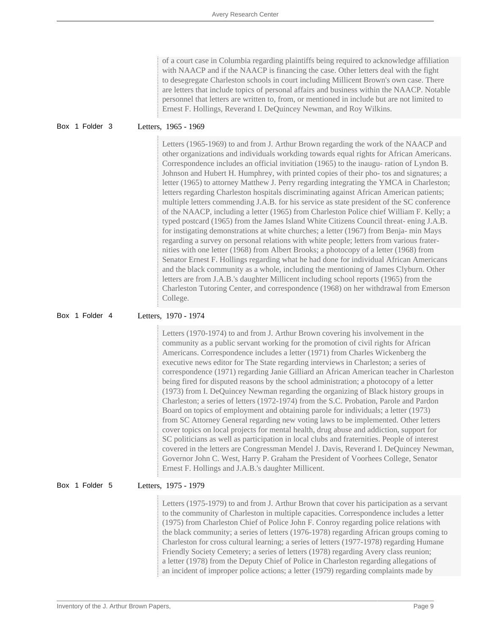of a court case in Columbia regarding plaintiffs being required to acknowledge affiliation with NAACP and if the NAACP is financing the case. Other letters deal with the fight to desegregate Charleston schools in court including Millicent Brown's own case. There are letters that include topics of personal affairs and business within the NAACP. Notable personnel that letters are written to, from, or mentioned in include but are not limited to Ernest F. Hollings, Reverand I. DeQuincey Newman, and Roy Wilkins.

#### Box 1 Folder 3 Letters, 1965 - 1969

Letters (1965-1969) to and from J. Arthur Brown regarding the work of the NAACP and other organizations and individuals workding towards equal rights for African Americans. Correspondence includes an official invitiation (1965) to the inaugu- ration of Lyndon B. Johnson and Hubert H. Humphrey, with printed copies of their pho- tos and signatures; a letter (1965) to attorney Matthew J. Perry regarding integrating the YMCA in Charleston; letters regarding Charleston hospitals discriminating against African American patients; multiple letters commending J.A.B. for his service as state president of the SC conference of the NAACP, including a letter (1965) from Charleston Police chief William F. Kelly; a typed postcard (1965) from the James Island White Citizens Council threat- ening J.A.B. for instigating demonstrations at white churches; a letter (1967) from Benja- min Mays regarding a survey on personal relations with white people; letters from various fraternities with one letter (1968) from Albert Brooks; a photocopy of a letter (1968) from Senator Ernest F. Hollings regarding what he had done for individual African Americans and the black community as a whole, including the mentioning of James Clyburn. Other letters are from J.A.B.'s daughter Millicent including school reports (1965) from the Charleston Tutoring Center, and correspondence (1968) on her withdrawal from Emerson College.

Box 1 Folder 4 Letters, 1970 - 1974

Letters (1970-1974) to and from J. Arthur Brown covering his involvement in the community as a public servant working for the promotion of civil rights for African Americans. Correspondence includes a letter (1971) from Charles Wickenberg the executive news editor for The State regarding interviews in Charleston; a series of correspondence (1971) regarding Janie Gilliard an African American teacher in Charleston being fired for disputed reasons by the school administration; a photocopy of a letter (1973) from I. DeQuincey Newman regarding the organizing of Black history groups in Charleston; a series of letters (1972-1974) from the S.C. Probation, Parole and Pardon Board on topics of employment and obtaining parole for individuals; a letter (1973) from SC Attorney General regarding new voting laws to be implemented. Other letters cover topics on local projects for mental health, drug abuse and addiction, support for SC politicians as well as participation in local clubs and fraternities. People of interest covered in the letters are Congressman Mendel J. Davis, Reverand I. DeQuincey Newman, Governor John C. West, Harry P. Graham the President of Voorhees College, Senator Ernest F. Hollings and J.A.B.'s daughter Millicent.

#### Box 1 Folder 5 Letters, 1975 - 1979

Letters (1975-1979) to and from J. Arthur Brown that cover his participation as a servant to the community of Charleston in multiple capacities. Correspondence includes a letter (1975) from Charleston Chief of Police John F. Conroy regarding police relations with the black community; a series of letters (1976-1978) regarding African groups coming to Charleston for cross cultural learning; a series of letters (1977-1978) regarding Humane Friendly Society Cemetery; a series of letters (1978) regarding Avery class reunion; a letter (1978) from the Deputy Chief of Police in Charleston regarding allegations of an incident of improper police actions; a letter (1979) regarding complaints made by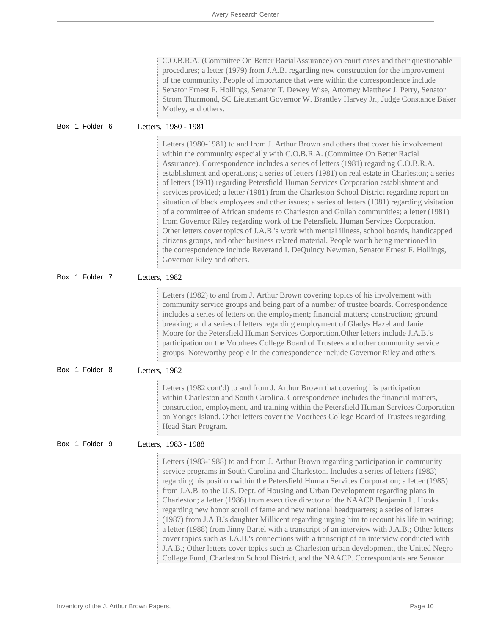| C.O.B.R.A. (Committee On Better RacialAssurance) on court cases and their questionable |  |
|----------------------------------------------------------------------------------------|--|
| procedures; a letter (1979) from J.A.B. regarding new construction for the improvement |  |
| of the community. People of importance that were within the correspondence include     |  |
| Senator Ernest F. Hollings, Senator T. Dewey Wise, Attorney Matthew J. Perry, Senator  |  |
| Strom Thurmond, SC Lieutenant Governor W. Brantley Harvey Jr., Judge Constance Baker   |  |
| Motley, and others.                                                                    |  |

|  |  | Box 1 Folder 6 |  |  | Letters, 1980 - 1981 |
|--|--|----------------|--|--|----------------------|
|--|--|----------------|--|--|----------------------|

Letters (1980-1981) to and from J. Arthur Brown and others that cover his involvement within the community especially with C.O.B.R.A. (Committee On Better Racial Assurance). Correspondence includes a series of letters (1981) regarding C.O.B.R.A. establishment and operations; a series of letters (1981) on real estate in Charleston; a series of letters (1981) regarding Petersfield Human Services Corporation establishment and services provided; a letter (1981) from the Charleston School District regarding report on situation of black employees and other issues; a series of letters (1981) regarding visitation of a committee of African students to Charleston and Gullah communities; a letter (1981) from Governor Riley regarding work of the Petersfield Human Services Corporation. Other letters cover topics of J.A.B.'s work with mental illness, school boards, handicapped citizens groups, and other business related material. People worth being mentioned in the correspondence include Reverand I. DeQuincy Newman, Senator Ernest F. Hollings, Governor Riley and others.

Box 1 Folder 7 Letters, 1982

Letters (1982) to and from J. Arthur Brown covering topics of his involvement with community service groups and being part of a number of trustee boards. Correspondence includes a series of letters on the employment; financial matters; construction; ground breaking; and a series of letters regarding employment of Gladys Hazel and Janie Moore for the Petersfield Human Services Corporation.Other letters include J.A.B.'s participation on the Voorhees College Board of Trustees and other community service groups. Noteworthy people in the correspondence include Governor Riley and others.

Box 1 Folder 8 Letters, 1982

Letters (1982 cont'd) to and from J. Arthur Brown that covering his participation within Charleston and South Carolina. Correspondence includes the financial matters, construction, employment, and training within the Petersfield Human Services Corporation on Yonges Island. Other letters cover the Voorhees College Board of Trustees regarding Head Start Program.

Box 1 Folder 9 Letters, 1983 - 1988

Letters (1983-1988) to and from J. Arthur Brown regarding participation in community service programs in South Carolina and Charleston. Includes a series of letters (1983) regarding his position within the Petersfield Human Services Corporation; a letter (1985) from J.A.B. to the U.S. Dept. of Housing and Urban Development regarding plans in Charleston; a letter (1986) from executive director of the NAACP Benjamin L. Hooks regarding new honor scroll of fame and new national headquarters; a series of letters (1987) from J.A.B.'s daughter Millicent regarding urging him to recount his life in writing; a letter (1988) from Jinny Bartel with a transcript of an interview with J.A.B.; Other letters cover topics such as J.A.B.'s connections with a transcript of an interview conducted with J.A.B.; Other letters cover topics such as Charleston urban development, the United Negro College Fund, Charleston School District, and the NAACP. Correspondants are Senator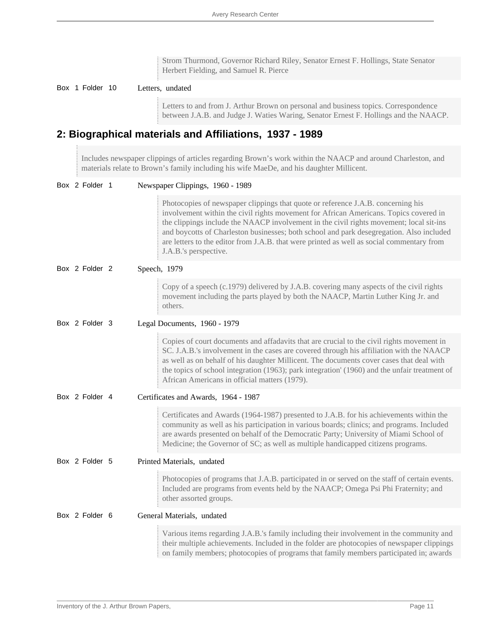Strom Thurmond, Governor Richard Riley, Senator Ernest F. Hollings, State Senator Herbert Fielding, and Samuel R. Pierce

#### Box 1 Folder 10 Letters, undated

Letters to and from J. Arthur Brown on personal and business topics. Correspondence between J.A.B. and Judge J. Waties Waring, Senator Ernest F. Hollings and the NAACP.

### **2: Biographical materials and Affiliations, 1937 - 1989**

Includes newspaper clippings of articles regarding Brown's work within the NAACP and around Charleston, and materials relate to Brown's family including his wife MaeDe, and his daughter Millicent.

| Box 2 Folder 1 | Newspaper Clippings, 1960 - 1989                                                                                                                                                                                                                                                                                                                                                                                                                                                       |
|----------------|----------------------------------------------------------------------------------------------------------------------------------------------------------------------------------------------------------------------------------------------------------------------------------------------------------------------------------------------------------------------------------------------------------------------------------------------------------------------------------------|
|                | Photocopies of newspaper clippings that quote or reference J.A.B. concerning his<br>involvement within the civil rights movement for African Americans. Topics covered in<br>the clippings include the NAACP involvement in the civil rights movement; local sit-ins<br>and boycotts of Charleston businesses; both school and park desegregation. Also included<br>are letters to the editor from J.A.B. that were printed as well as social commentary from<br>J.A.B.'s perspective. |
| Box 2 Folder 2 | Speech, 1979                                                                                                                                                                                                                                                                                                                                                                                                                                                                           |
|                | Copy of a speech (c.1979) delivered by J.A.B. covering many aspects of the civil rights<br>movement including the parts played by both the NAACP, Martin Luther King Jr. and<br>others.                                                                                                                                                                                                                                                                                                |
| Box 2 Folder 3 | Legal Documents, 1960 - 1979                                                                                                                                                                                                                                                                                                                                                                                                                                                           |
|                | Copies of court documents and affadavits that are crucial to the civil rights movement in<br>SC. J.A.B.'s involvement in the cases are covered through his affiliation with the NAACP<br>as well as on behalf of his daughter Millicent. The documents cover cases that deal with<br>the topics of school integration (1963); park integration' (1960) and the unfair treatment of<br>African Americans in official matters (1979).                                                    |
| Box 2 Folder 4 | Certificates and Awards, 1964 - 1987                                                                                                                                                                                                                                                                                                                                                                                                                                                   |
|                | Certificates and Awards (1964-1987) presented to J.A.B. for his achievements within the<br>community as well as his participation in various boards; clinics; and programs. Included<br>are awards presented on behalf of the Democratic Party; University of Miami School of<br>Medicine; the Governor of SC; as well as multiple handicapped citizens programs.                                                                                                                      |
| Box 2 Folder 5 | Printed Materials, undated                                                                                                                                                                                                                                                                                                                                                                                                                                                             |
|                | Photocopies of programs that J.A.B. participated in or served on the staff of certain events.<br>Included are programs from events held by the NAACP; Omega Psi Phi Fraternity; and<br>other assorted groups.                                                                                                                                                                                                                                                                          |
| Box 2 Folder 6 | General Materials, undated                                                                                                                                                                                                                                                                                                                                                                                                                                                             |
|                | Various items regarding J.A.B.'s family including their involvement in the community and<br>their multiple achievements. Included in the folder are photocopies of newspaper clippings<br>on family members; photocopies of programs that family members participated in; awards                                                                                                                                                                                                       |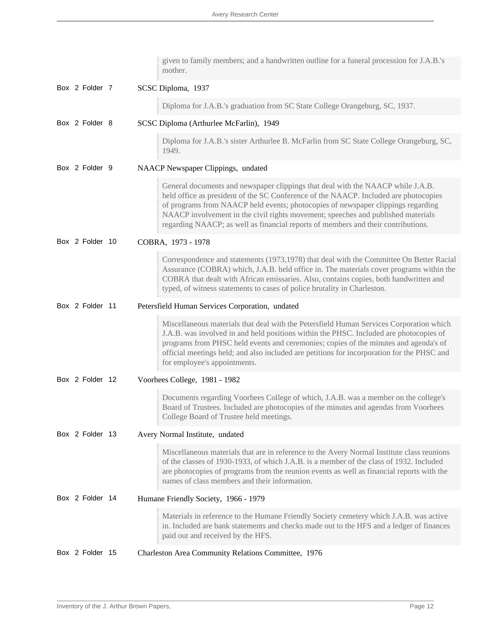|  |                 | given to family members; and a handwritten outline for a funeral procession for J.A.B.'s<br>mother.                                                                                                                                                                                                                                                                                                                                  |
|--|-----------------|--------------------------------------------------------------------------------------------------------------------------------------------------------------------------------------------------------------------------------------------------------------------------------------------------------------------------------------------------------------------------------------------------------------------------------------|
|  | Box 2 Folder 7  | SCSC Diploma, 1937                                                                                                                                                                                                                                                                                                                                                                                                                   |
|  |                 | Diploma for J.A.B.'s graduation from SC State College Orangeburg, SC, 1937.                                                                                                                                                                                                                                                                                                                                                          |
|  | Box 2 Folder 8  | SCSC Diploma (Arthurlee McFarlin), 1949                                                                                                                                                                                                                                                                                                                                                                                              |
|  |                 | Diploma for J.A.B.'s sister Arthurlee B. McFarlin from SC State College Orangeburg, SC,<br>1949.                                                                                                                                                                                                                                                                                                                                     |
|  | Box 2 Folder 9  | NAACP Newspaper Clippings, undated                                                                                                                                                                                                                                                                                                                                                                                                   |
|  |                 | General documents and newspaper clippings that deal with the NAACP while J.A.B.<br>held office as president of the SC Conference of the NAACP. Included are photocopies<br>of programs from NAACP held events; photocopies of newspaper clippings regarding<br>NAACP involvement in the civil rights movement; speeches and published materials<br>regarding NAACP; as well as financial reports of members and their contributions. |
|  | Box 2 Folder 10 | COBRA, 1973 - 1978                                                                                                                                                                                                                                                                                                                                                                                                                   |
|  |                 | Correspondence and statements (1973,1978) that deal with the Committee On Better Racial<br>Assurance (COBRA) which, J.A.B. held office in. The materials cover programs within the<br>COBRA that dealt with African emissaries. Also, contains copies, both handwritten and<br>typed, of witness statements to cases of police brutality in Charleston.                                                                              |
|  | Box 2 Folder 11 | Petersfield Human Services Corporation, undated                                                                                                                                                                                                                                                                                                                                                                                      |
|  |                 | Miscellaneous materials that deal with the Petersfield Human Services Corporation which<br>J.A.B. was involved in and held positions within the PHSC. Included are photocopies of<br>programs from PHSC held events and ceremonies; copies of the minutes and agenda's of<br>official meetings held; and also included are petitions for incorporation for the PHSC and<br>for employee's appointments.                              |
|  | Box 2 Folder 12 | Voorhees College, 1981 - 1982                                                                                                                                                                                                                                                                                                                                                                                                        |
|  |                 | Documents regarding Voorhees College of which, J.A.B. was a member on the college's<br>Board of Trustees. Included are photocopies of the minutes and agendas from Voorhees<br>College Board of Trustee held meetings.                                                                                                                                                                                                               |
|  | Box 2 Folder 13 | Avery Normal Institute, undated                                                                                                                                                                                                                                                                                                                                                                                                      |
|  |                 | Miscellaneous materials that are in reference to the Avery Normal Institute class reunions<br>of the classes of 1930-1933, of which J.A.B. is a member of the class of 1932. Included<br>are photocopies of programs from the reunion events as well as financial reports with the<br>names of class members and their information.                                                                                                  |
|  | Box 2 Folder 14 | Humane Friendly Society, 1966 - 1979                                                                                                                                                                                                                                                                                                                                                                                                 |
|  |                 | Materials in reference to the Humane Friendly Society cemetery which J.A.B. was active<br>in. Included are bank statements and checks made out to the HFS and a ledger of finances<br>paid out and received by the HFS.                                                                                                                                                                                                              |
|  | Box 2 Folder 15 | Charleston Area Community Relations Committee, 1976                                                                                                                                                                                                                                                                                                                                                                                  |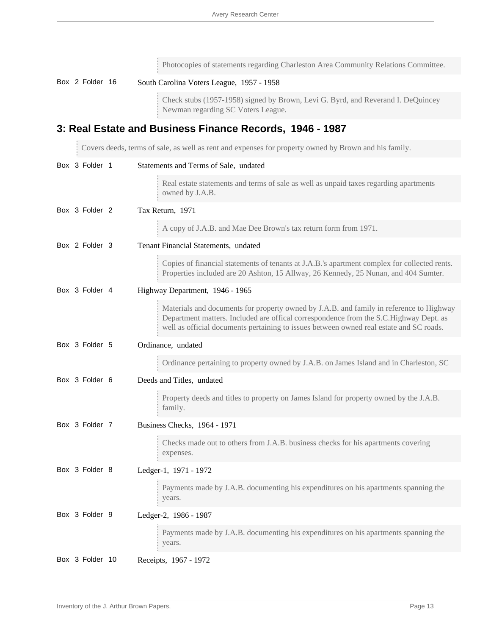|  |                 | Photocopies of statements regarding Charleston Area Community Relations Committee.                                                                                                                                                                                          |
|--|-----------------|-----------------------------------------------------------------------------------------------------------------------------------------------------------------------------------------------------------------------------------------------------------------------------|
|  | Box 2 Folder 16 | South Carolina Voters League, 1957 - 1958                                                                                                                                                                                                                                   |
|  |                 | Check stubs (1957-1958) signed by Brown, Levi G. Byrd, and Reverand I. DeQuincey<br>Newman regarding SC Voters League.                                                                                                                                                      |
|  |                 | 3: Real Estate and Business Finance Records, 1946 - 1987                                                                                                                                                                                                                    |
|  |                 | Covers deeds, terms of sale, as well as rent and expenses for property owned by Brown and his family.                                                                                                                                                                       |
|  | Box 3 Folder 1  | Statements and Terms of Sale, undated                                                                                                                                                                                                                                       |
|  |                 | Real estate statements and terms of sale as well as unpaid taxes regarding apartments<br>owned by J.A.B.                                                                                                                                                                    |
|  | Box 3 Folder 2  | Tax Return, 1971                                                                                                                                                                                                                                                            |
|  |                 | A copy of J.A.B. and Mae Dee Brown's tax return form from 1971.                                                                                                                                                                                                             |
|  | Box 2 Folder 3  | Tenant Financial Statements, undated                                                                                                                                                                                                                                        |
|  |                 | Copies of financial statements of tenants at J.A.B.'s apartment complex for collected rents.<br>Properties included are 20 Ashton, 15 Allway, 26 Kennedy, 25 Nunan, and 404 Sumter.                                                                                         |
|  | Box 3 Folder 4  | Highway Department, 1946 - 1965                                                                                                                                                                                                                                             |
|  |                 | Materials and documents for property owned by J.A.B. and family in reference to Highway<br>Department matters. Included are offical correspondence from the S.C.Highway Dept. as<br>well as official documents pertaining to issues between owned real estate and SC roads. |
|  | Box 3 Folder 5  | Ordinance, undated                                                                                                                                                                                                                                                          |
|  |                 | Ordinance pertaining to property owned by J.A.B. on James Island and in Charleston, SC                                                                                                                                                                                      |
|  | Box 3 Folder 6  | Deeds and Titles, undated                                                                                                                                                                                                                                                   |
|  |                 | Property deeds and titles to property on James Island for property owned by the J.A.B.<br>family.                                                                                                                                                                           |
|  | Box 3 Folder 7  | Business Checks, 1964 - 1971                                                                                                                                                                                                                                                |
|  |                 | Checks made out to others from J.A.B. business checks for his apartments covering<br>expenses.                                                                                                                                                                              |
|  | Box 3 Folder 8  | Ledger-1, 1971 - 1972                                                                                                                                                                                                                                                       |
|  |                 | Payments made by J.A.B. documenting his expenditures on his apartments spanning the<br>years.                                                                                                                                                                               |
|  | Box 3 Folder 9  | Ledger-2, 1986 - 1987                                                                                                                                                                                                                                                       |
|  |                 | Payments made by J.A.B. documenting his expenditures on his apartments spanning the<br>years.                                                                                                                                                                               |
|  | Box 3 Folder 10 | Receipts, 1967 - 1972                                                                                                                                                                                                                                                       |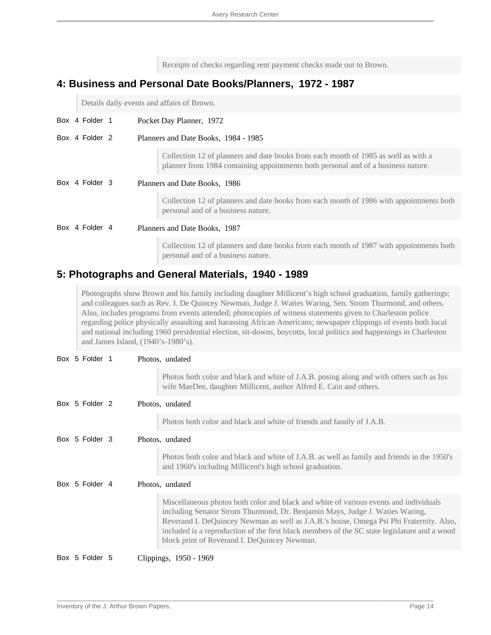Receipts of checks regarding rent payment checks made out to Brown.

### **4: Business and Personal Date Books/Planners, 1972 - 1987**

Details daily events and affairs of Brown.

|  |                | Box 4 Folder 1                | Pocket Day Planner, 1972                                                                                                                                                |
|--|----------------|-------------------------------|-------------------------------------------------------------------------------------------------------------------------------------------------------------------------|
|  | Box 4 Folder 2 |                               | Planners and Date Books, 1984 - 1985                                                                                                                                    |
|  |                |                               | Collection 12 of planners and date books from each month of 1985 as well as with a<br>planner from 1984 containing appointments both personal and of a business nature. |
|  | Box 4 Folder 3 | Planners and Date Books, 1986 |                                                                                                                                                                         |
|  |                |                               | Collection 12 of planners and date books from each month of 1986 with appointments both<br>personal and of a business nature.                                           |
|  | Box 4 Folder 4 | Planners and Date Books, 1987 |                                                                                                                                                                         |
|  |                |                               | Collection 12 of planners and date books from each month of 1987 with appointments both<br>personal and of a business nature.                                           |

### **5: Photographs and General Materials, 1940 - 1989**

Photographs show Brown and his family including daughter Millicent's high school graduation, family gatherings; and colleagues such as Rev. I. De Quincey Newman, Judge J. Waties Waring, Sen. Strom Thurmond, and others. Also, includes programs from events attended; photocopies of witness statements given to Charleston police regarding police physically assaulting and harassing African Americans; newspaper clippings of events both local and national including 1960 presidential election, sit-downs, boycotts, local politics and happenings in Charleston and James Island, (1940's-1980's).

| Box 5 Folder 1 | Photos, undated                                                                                                                                                                                                                                                                                                                                                                                                  |
|----------------|------------------------------------------------------------------------------------------------------------------------------------------------------------------------------------------------------------------------------------------------------------------------------------------------------------------------------------------------------------------------------------------------------------------|
|                | Photos both color and black and white of J.A.B. posing along and with others such as his<br>wife MaeDee, daughter Millicent, author Alfred E. Cain and others.                                                                                                                                                                                                                                                   |
| Box 5 Folder 2 | Photos, undated                                                                                                                                                                                                                                                                                                                                                                                                  |
|                | Photos both color and black and white of friends and family of J.A.B.                                                                                                                                                                                                                                                                                                                                            |
| Box 5 Folder 3 | Photos, undated                                                                                                                                                                                                                                                                                                                                                                                                  |
|                | Photos both color and black and white of J.A.B. as well as family and friends in the 1950's<br>and 1960's including Millicent's high school graduation.                                                                                                                                                                                                                                                          |
| Box 5 Folder 4 | Photos, undated                                                                                                                                                                                                                                                                                                                                                                                                  |
|                | Miscellaneous photos both color and black and white of various events and individuals<br>including Senator Strom Thurmond, Dr. Benjamin Mays, Judge J. Waties Waring,<br>Reverand I. DeQuincey Newman as well as J.A.B.'s house, Omega Psi Phi Fraternity. Also,<br>included is a reproduction of the first black members of the SC state legislature and a wood<br>block print of Reverand I. DeQuincey Newman. |
| Box 5 Folder 5 | Clippings, 1950 - 1969                                                                                                                                                                                                                                                                                                                                                                                           |